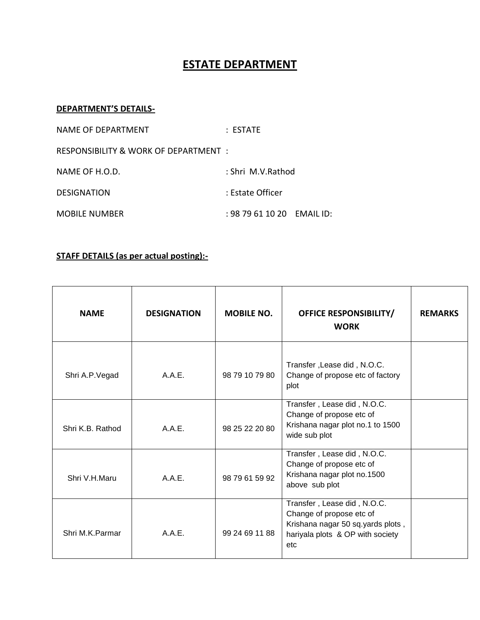## **ESTATE DEPARTMENT**

## **DEPARTMENT'S DETAILS-**

| NAME OF DEPARTMENT                    | $:$ <code>FSTATF</code>  |  |
|---------------------------------------|--------------------------|--|
| RESPONSIBILITY & WORK OF DEPARTMENT : |                          |  |
| NAME OF H.O.D.                        | : Shri M.V.Rathod        |  |
| <b>DESIGNATION</b>                    | : Estate Officer         |  |
| <b>MOBILE NUMBER</b>                  | $: 9879611020$ EMAIL ID: |  |

## **STAFF DETAILS (as per actual posting):-**

| <b>NAME</b>      | <b>DESIGNATION</b> | <b>MOBILE NO.</b> | <b>OFFICE RESPONSIBILITY/</b><br><b>WORK</b>                                                                                            | <b>REMARKS</b> |
|------------------|--------------------|-------------------|-----------------------------------------------------------------------------------------------------------------------------------------|----------------|
| Shri A.P. Vegad  | A.A.E.             | 98 79 10 79 80    | Transfer, Lease did, N.O.C.<br>Change of propose etc of factory<br>plot                                                                 |                |
| Shri K.B. Rathod | A.A.E.             | 98 25 22 20 80    | Transfer, Lease did, N.O.C.<br>Change of propose etc of<br>Krishana nagar plot no.1 to 1500<br>wide sub plot                            |                |
| Shri V.H.Maru    | A.A.E.             | 98 79 61 59 92    | Transfer, Lease did, N.O.C.<br>Change of propose etc of<br>Krishana nagar plot no.1500<br>above sub plot                                |                |
| Shri M.K.Parmar  | A.A.E.             | 99 24 69 11 88    | Transfer, Lease did, N.O.C.<br>Change of propose etc of<br>Krishana nagar 50 sq.yards plots,<br>hariyala plots & OP with society<br>etc |                |